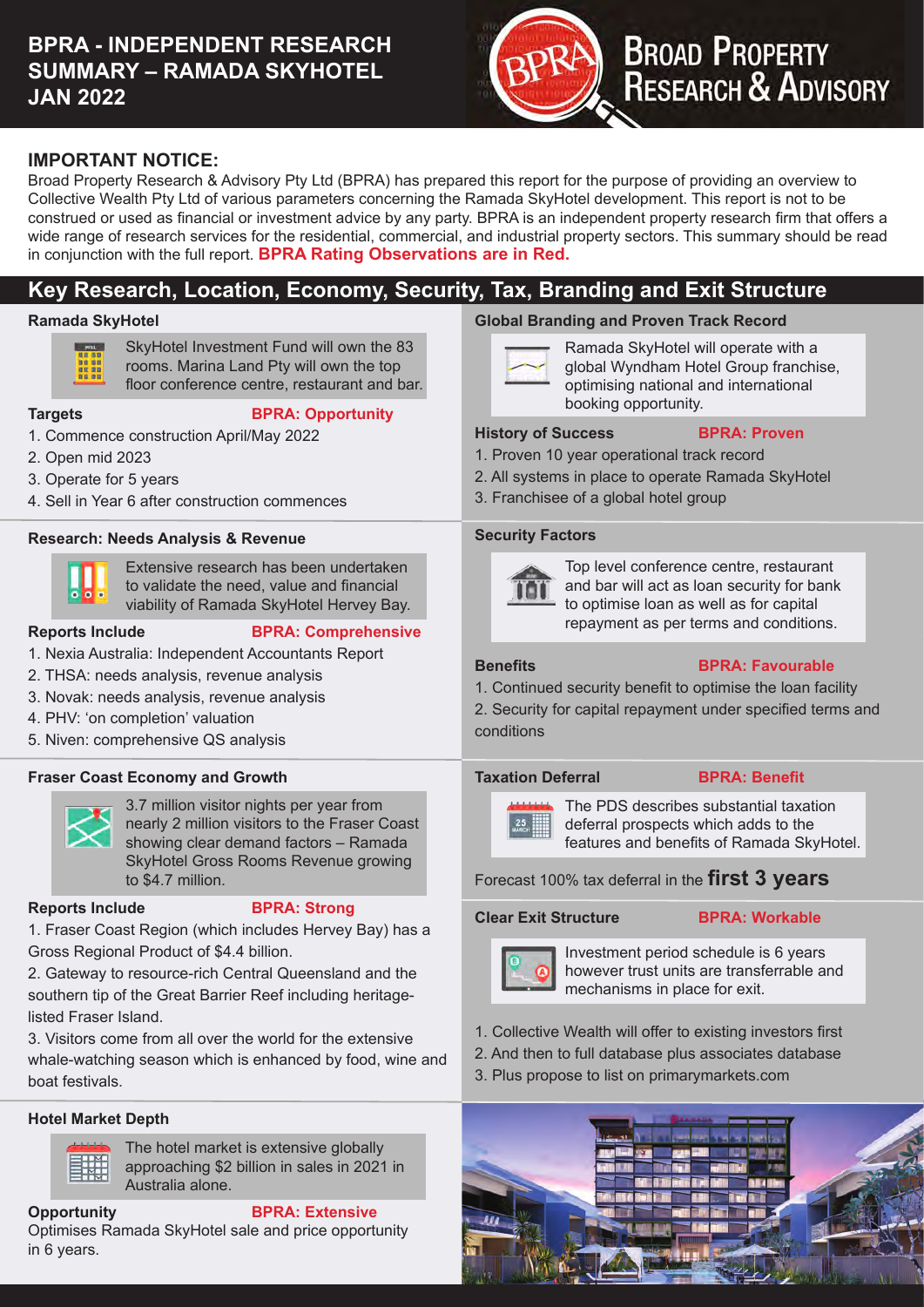# **BPRA - INDEPENDENT RESEARCH SUMMARY – RAMADA SKYHOTEL JAN 2022**



# **BROAD PROPERTY<br>RESEARCH & ADVISORY**

# **IMPORTANT NOTICE:**

Broad Property Research & Advisory Pty Ltd (BPRA) has prepared this report for the purpose of providing an overview to Collective Wealth Pty Ltd of various parameters concerning the Ramada SkyHotel development. This report is not to be construed or used as fnancial or investment advice by any party. BPRA is an independent property research frm that offers a wide range of research services for the residential, commercial, and industrial property sectors. This summary should be read in conjunction with the full report. **BPRA Rating Observations are in Red.**

# **Key Research, Location, Economy, Security, Tax, Branding and Exit Structure**

# **Ramada SkyHotel**



SkyHotel Investment Fund will own the 83 rooms. Marina Land Pty will own the top

floor conference centre, restaurant and bar.

# **Targets BPRA: Opportunity**

- 1. Commence construction April/May 2022
- 2. Open mid 2023
- 3. Operate for 5 years
- 4. Sell in Year 6 after construction commences

# **Research: Needs Analysis & Revenue**



Extensive research has been undertaken to validate the need, value and fnancial viability of Ramada SkyHotel Hervey Bay.

# **Reports Include BPRA: Comprehensive**

- 1. Nexia Australia: Independent Accountants Report
- 2. THSA: needs analysis, revenue analysis
- 3. Novak: needs analysis, revenue analysis
- 4. PHV: 'on completion' valuation
- 5. Niven: comprehensive QS analysis

# **Fraser Coast Economy and Growth**



3.7 million visitor nights per year from nearly 2 million visitors to the Fraser Coast showing clear demand factors – Ramada SkyHotel Gross Rooms Revenue growing to \$4.7 million.

# **Reports Include BPRA: Strong**

1. Fraser Coast Region (which includes Hervey Bay) has a Gross Regional Product of \$4.4 billion.

2. Gateway to resource-rich Central Queensland and the southern tip of the Great Barrier Reef including heritagelisted Fraser Island.

3. Visitors come from all over the world for the extensive whale-watching season which is enhanced by food, wine and boat festivals.

# **Hotel Market Depth**



The hotel market is extensive globally approaching \$2 billion in sales in 2021 in Australia alone.

# **Opportunity BPRA: Extensive**

Optimises Ramada SkyHotel sale and price opportunity in 6 years.

# **Global Branding and Proven Track Record**

Ramada SkyHotel will operate with a global Wyndham Hotel Group franchise, optimising national and international booking opportunity.

# **History of Success BPRA: Proven**

- 1. Proven 10 year operational track record
- 2. All systems in place to operate Ramada SkyHotel
- 3. Franchisee of a global hotel group

#### **Security Factors**



Top level conference centre, restaurant and bar will act as loan security for bank to optimise loan as well as for capital repayment as per terms and conditions.

# **Benefits BPRA: Favourable**

1. Continued security beneft to optimise the loan facility

2. Security for capital repayment under specifed terms and conditions

# **Taxation Deferral BPRA: Benefit**



The PDS describes substantial taxation deferral prospects which adds to the features and benefits of Ramada SkyHotel.

Forecast 100% tax deferral in the **first 3 years** 

# **Clear Exit Structure BPRA: Workable**



Investment period schedule is 6 years however trust units are transferrable and mechanisms in place for exit.

- 1. Collective Wealth will offer to existing investors frst
- 2. And then to full database plus associates database
- 3. Plus propose to list on primarymarkets.com